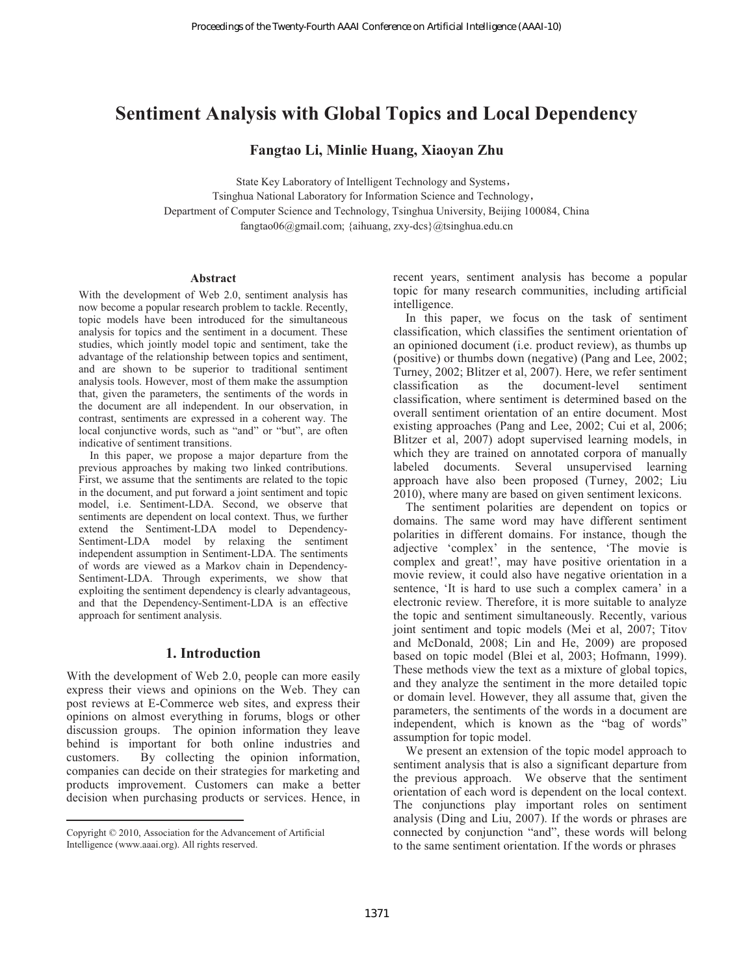# **Sentiment Analysis with Global Topics and Local Dependency**

# **Fangtao Li, Minlie Huang, Xiaoyan Zhu**

State Key Laboratory of Intelligent Technology and Systems

Tsinghua National Laboratory for Information Science and Technology Department of Computer Science and Technology, Tsinghua University, Beijing 100084, China fangtao06@gmail.com; {aihuang, zxy-dcs}@tsinghua.edu.cn

#### **Abstract**

With the development of Web 2.0, sentiment analysis has now become a popular research problem to tackle. Recently, topic models have been introduced for the simultaneous analysis for topics and the sentiment in a document. These studies, which jointly model topic and sentiment, take the advantage of the relationship between topics and sentiment, and are shown to be superior to traditional sentiment analysis tools. However, most of them make the assumption that, given the parameters, the sentiments of the words in the document are all independent. In our observation, in contrast, sentiments are expressed in a coherent way. The local conjunctive words, such as "and" or "but", are often indicative of sentiment transitions.

In this paper, we propose a major departure from the previous approaches by making two linked contributions. First, we assume that the sentiments are related to the topic in the document, and put forward a joint sentiment and topic model, i.e. Sentiment-LDA. Second, we observe that sentiments are dependent on local context. Thus, we further extend the Sentiment-LDA model to Dependency-Sentiment-LDA model by relaxing the sentiment independent assumption in Sentiment-LDA. The sentiments of words are viewed as a Markov chain in Dependency-Sentiment-LDA. Through experiments, we show that exploiting the sentiment dependency is clearly advantageous, and that the Dependency-Sentiment-LDA is an effective approach for sentiment analysis.

# **1. Introduction**

With the development of Web 2.0, people can more easily express their views and opinions on the Web. They can post reviews at E-Commerce web sites, and express their opinions on almost everything in forums, blogs or other discussion groups. The opinion information they leave behind is important for both online industries and customers. By collecting the opinion information, companies can decide on their strategies for marketing and products improvement. Customers can make a better decision when purchasing products or services. Hence, in

 $\overline{a}$ 

recent years, sentiment analysis has become a popular topic for many research communities, including artificial intelligence.

In this paper, we focus on the task of sentiment classification, which classifies the sentiment orientation of an opinioned document (i.e. product review), as thumbs up (positive) or thumbs down (negative) (Pang and Lee, 2002; Turney, 2002; Blitzer et al, 2007). Here, we refer sentiment classification as the document-level sentiment classification, where sentiment is determined based on the overall sentiment orientation of an entire document. Most existing approaches (Pang and Lee, 2002; Cui et al, 2006; Blitzer et al, 2007) adopt supervised learning models, in which they are trained on annotated corpora of manually labeled documents. Several unsupervised learning approach have also been proposed (Turney, 2002; Liu 2010), where many are based on given sentiment lexicons.

The sentiment polarities are dependent on topics or domains. The same word may have different sentiment polarities in different domains. For instance, though the adjective 'complex' in the sentence, 'The movie is complex and great!', may have positive orientation in a movie review, it could also have negative orientation in a sentence, 'It is hard to use such a complex camera' in a electronic review. Therefore, it is more suitable to analyze the topic and sentiment simultaneously. Recently, various joint sentiment and topic models (Mei et al, 2007; Titov and McDonald, 2008; Lin and He, 2009) are proposed based on topic model (Blei et al, 2003; Hofmann, 1999). These methods view the text as a mixture of global topics, and they analyze the sentiment in the more detailed topic or domain level. However, they all assume that, given the parameters, the sentiments of the words in a document are independent, which is known as the "bag of words" assumption for topic model. Proceedings of the Twenty-Fourth AAAI Conference on Artificial Intelligence (AAA-10)<br>
14 **Analysis with Global Topics and Local Dep**<br>
Fangtao Li, Minite Ituang, Xiaoyan Zhu<br>
Sunce Ky Lebourtoy of Intelligent Technology an

We present an extension of the topic model approach to sentiment analysis that is also a significant departure from the previous approach. We observe that the sentiment orientation of each word is dependent on the local context. The conjunctions play important roles on sentiment analysis (Ding and Liu, 2007). If the words or phrases are connected by conjunction "and", these words will belong to the same sentiment orientation. If the words or phrases

Copyright © 2010, Association for the Advancement of Artificial Intelligence (www.aaai.org). All rights reserved.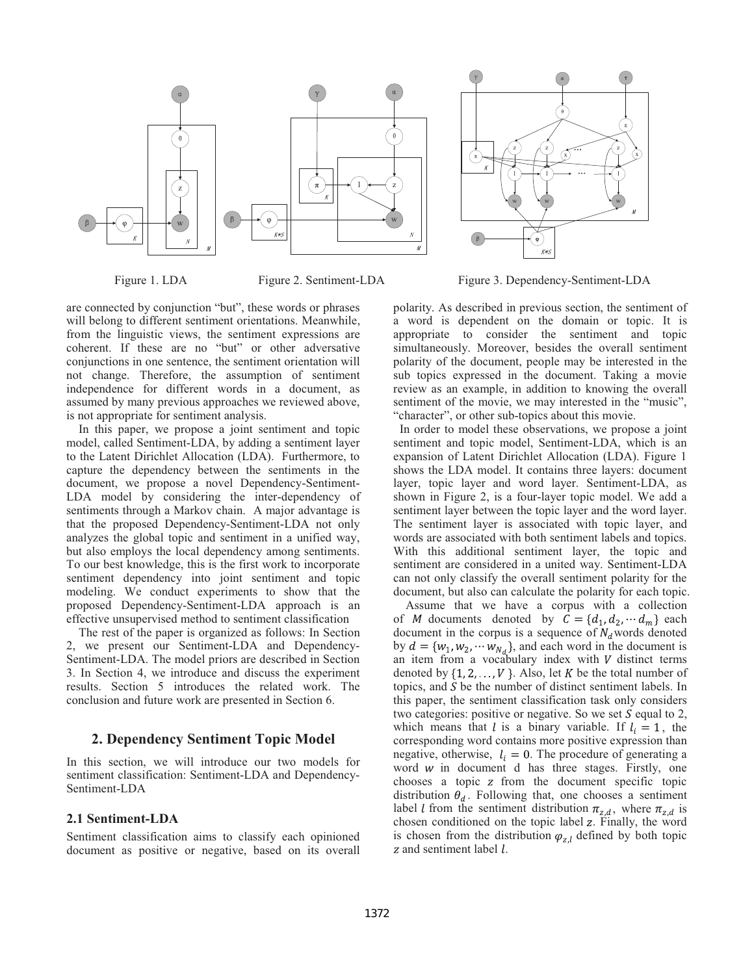

are connected by conjunction "but", these words or phrases will belong to different sentiment orientations. Meanwhile, from the linguistic views, the sentiment expressions are coherent. If these are no "but" or other adversative conjunctions in one sentence, the sentiment orientation will not change. Therefore, the assumption of sentiment independence for different words in a document, as assumed by many previous approaches we reviewed above, is not appropriate for sentiment analysis.

In this paper, we propose a joint sentiment and topic model, called Sentiment-LDA, by adding a sentiment layer to the Latent Dirichlet Allocation (LDA). Furthermore, to capture the dependency between the sentiments in the document, we propose a novel Dependency-Sentiment-LDA model by considering the inter-dependency of sentiments through a Markov chain. A major advantage is that the proposed Dependency-Sentiment-LDA not only analyzes the global topic and sentiment in a unified way, but also employs the local dependency among sentiments. To our best knowledge, this is the first work to incorporate sentiment dependency into joint sentiment and topic modeling. We conduct experiments to show that the proposed Dependency-Sentiment-LDA approach is an effective unsupervised method to sentiment classification

The rest of the paper is organized as follows: In Section 2, we present our Sentiment-LDA and Dependency-Sentiment-LDA. The model priors are described in Section 3. In Section 4, we introduce and discuss the experiment results. Section 5 introduces the related work. The conclusion and future work are presented in Section 6.

# **2. Dependency Sentiment Topic Model**

In this section, we will introduce our two models for sentiment classification: Sentiment-LDA and Dependency-Sentiment-LDA

# **2.1 Sentiment-LDA**

Sentiment classification aims to classify each opinioned document as positive or negative, based on its overall



Figure 1. LDA Figure 2. Sentiment-LDA Figure 3. Dependency-Sentiment-LDA

polarity. As described in previous section, the sentiment of a word is dependent on the domain or topic. It is appropriate to consider the sentiment and topic simultaneously. Moreover, besides the overall sentiment polarity of the document, people may be interested in the sub topics expressed in the document. Taking a movie review as an example, in addition to knowing the overall sentiment of the movie, we may interested in the "music", "character", or other sub-topics about this movie.

 In order to model these observations, we propose a joint sentiment and topic model, Sentiment-LDA, which is an expansion of Latent Dirichlet Allocation (LDA). Figure 1 shows the LDA model. It contains three layers: document layer, topic layer and word layer. Sentiment-LDA, as shown in Figure 2, is a four-layer topic model. We add a sentiment layer between the topic layer and the word layer. The sentiment layer is associated with topic layer, and words are associated with both sentiment labels and topics. With this additional sentiment layer, the topic and sentiment are considered in a united way. Sentiment-LDA can not only classify the overall sentiment polarity for the document, but also can calculate the polarity for each topic.

Assume that we have a corpus with a collection of M documents denoted by  $C = \{d_1, d_2, \dots, d_m\}$  each document in the corpus is a sequence of  $N_d$  words denoted by  $d = \{w_1, w_2, \cdots w_{N_d}\}$ , and each word in the document is an item from a vocabulary index with  $V$  distinct terms denoted by  $\{1, 2, ..., V\}$ . Also, let K be the total number of topics, and  $S$  be the number of distinct sentiment labels. In this paper, the sentiment classification task only considers two categories: positive or negative. So we set  $S$  equal to 2, which means that l is a binary variable. If  $l_i = 1$ , the corresponding word contains more positive expression than negative, otherwise,  $l_i = 0$ . The procedure of generating a word  $w$  in document d has three stages. Firstly, one chooses a topic  $z$  from the document specific topic distribution  $\theta_d$ . Following that, one chooses a sentiment label *l* from the sentiment distribution  $\pi_{z,d}$ , where  $\pi_{z,d}$  is chosen conditioned on the topic label z. Finally, the word is chosen from the distribution  $\varphi_{z,l}$  defined by both topic  $z$  and sentiment label  $l$ .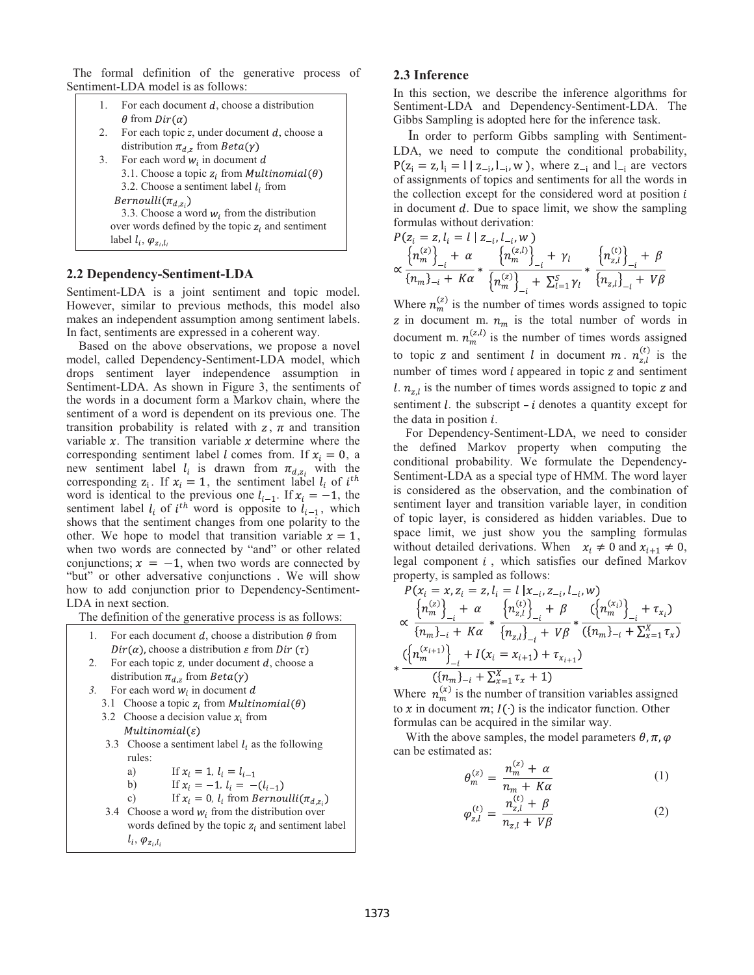The formal definition of the generative process of Sentiment-LDA model is as follows:

| 1.                                             | For each document $d$ , choose a distribution                               |  |  |
|------------------------------------------------|-----------------------------------------------------------------------------|--|--|
| 2.                                             | $\theta$ from $Dir(\alpha)$<br>For each topic z, under document d, choose a |  |  |
|                                                | distribution $\pi_{d,z}$ from $Beta(\gamma)$                                |  |  |
| 3.                                             | For each word $w_i$ in document d                                           |  |  |
|                                                | 3.1. Choose a topic $z_i$ from <i>Multinomial</i> ( $\theta$ )              |  |  |
|                                                | 3.2. Choose a sentiment label $l_i$ from                                    |  |  |
|                                                | $Bernoulli(\pi_{d,z_i})$                                                    |  |  |
| 3.3. Choose a word $w_i$ from the distribution |                                                                             |  |  |
|                                                | over words defined by the topic $z_i$ and sentiment                         |  |  |
|                                                | label $l_i$ , $\varphi_{z_i,l_i}$                                           |  |  |
|                                                |                                                                             |  |  |

# **2.2 Dependency-Sentiment-LDA**

Sentiment-LDA is a joint sentiment and topic model. However, similar to previous methods, this model also makes an independent assumption among sentiment labels. In fact, sentiments are expressed in a coherent way.

Based on the above observations, we propose a novel model, called Dependency-Sentiment-LDA model, which drops sentiment layer independence assumption in Sentiment-LDA. As shown in Figure 3, the sentiments of the words in a document form a Markov chain, where the sentiment of a word is dependent on its previous one. The transition probability is related with  $z, \pi$  and transition variable  $x$ . The transition variable  $x$  determine where the corresponding sentiment label *l* comes from. If  $x_i = 0$ , a new sentiment label  $l_i$  is drawn from  $\pi_{d,z_i}$  with the corresponding  $z_i$ . If  $x_i = 1$ , the sentiment label  $l_i$  of  $i^{th}$ word is identical to the previous one  $l_{i-1}$ . If  $x_i = -1$ , the sentiment label  $l_i$  of  $i^{th}$  word is opposite to  $l_{i-1}$ , which shows that the sentiment changes from one polarity to the other. We hope to model that transition variable  $x = 1$ , when two words are connected by "and" or other related conjunctions;  $x = -1$ , when two words are connected by "but" or other adversative conjunctions . We will show how to add conjunction prior to Dependency-Sentiment-LDA in next section.

The definition of the generative process is as follows:

- 1. For each document d, choose a distribution  $\theta$  from  $Dir(\alpha)$ , choose a distribution  $\varepsilon$  from Dir  $(\tau)$
- 2. For each topic *z*, under document *d*, choose a distribution  $\pi_{d,z}$  from  $Beta(\gamma)$
- *3.* For each word  $w_i$  in document d
	- 3.1 Choose a topic  $z_i$  from *Multinomial*( $\theta$ )
	- 3.2 Choose a decision value  $x_i$  from  $Multinomial(\varepsilon)$
	- 3.3 Choose a sentiment label  $l_i$  as the following rules:
		- a) If  $x_i = 1, l_i = l_{i-1}$
		- b) If  $x_i = -1$ ,  $l_i = -(l_{i-1})$

c) If 
$$
x_i = 0
$$
,  $l_i$  from Bernoulli( $\pi_{d,z_i}$ )

3.4 Choose a word  $w_i$  from the distribution over words defined by the topic  $z_i$  and sentiment label  $l_i, \varphi_{z_i, l_i}$ 

# **2.3 Inference**

In this section, we describe the inference algorithms for Sentiment-LDA and Dependency-Sentiment-LDA. The Gibbs Sampling is adopted here for the inference task.

In order to perform Gibbs sampling with Sentiment-LDA, we need to compute the conditional probability,  $P(z_i = z, l_i = l | z_{-i}, l_{-i}, w)$ , where  $z_{-i}$  and  $l_{-i}$  are vectors of assignments of topics and sentiments for all the words in the collection except for the considered word at position  $i$ in document  $d$ . Due to space limit, we show the sampling formulas without derivation:

$$
P(z_i = z, l_i = l | z_{-i}, l_{-i}, w)
$$
  

$$
\propto \frac{\left\{ n_m^{(z)} \right\}_+ + \alpha}{\left\{ n_m \right\}_{-i} + K\alpha} * \frac{\left\{ n_m^{(z,l)} \right\}_+ + \gamma_l}{\left\{ n_m^{(z)} \right\}_+ + \sum_{i=1}^S \gamma_i} * \frac{\left\{ n_{z,l}^{(t)} \right\}_+ + \beta}{\left\{ n_{z,l} \right\}_- + V\beta}
$$

Where  $n_m^{(z)}$  is the number of times words assigned to topic z in document m.  $n_m$  is the total number of words in document m.  $n_m^{(z,l)}$  is the number of times words assigned to topic z and sentiment l in document m.  $n_{z,l}^{(t)}$  is the number of times word  $i$  appeared in topic  $z$  and sentiment l.  $n_{z,l}$  is the number of times words assigned to topic z and sentiment  $l$ . the subscript  $-i$  denotes a quantity except for the data in position  $i$ .

For Dependency-Sentiment-LDA, we need to consider the defined Markov property when computing the conditional probability. We formulate the Dependency-Sentiment-LDA as a special type of HMM. The word layer is considered as the observation, and the combination of sentiment layer and transition variable layer, in condition of topic layer, is considered as hidden variables. Due to space limit, we just show you the sampling formulas without detailed derivations. When  $x_i \neq 0$  and  $x_{i+1} \neq 0$ , legal component  $i$ , which satisfies our defined Markov property, is sampled as follows:

$$
P(x_i = x, z_i = z, l_i = l | x_{-i}, z_{-i}, l_{-i}, w)
$$
  
\n
$$
\propto \frac{\left\{ n_m^{(z)} \right\}_{-i} + \alpha}{\left\{ n_m \right\}_{-i} + K\alpha} * \frac{\left\{ n_{z,l}^{(t)} \right\}_{-i} + \beta}{\left\{ n_{z,l} \right\}_{-i} + V\beta} * \frac{\left( \left\{ n_m^{(x_i)} \right\}_{-i} + \tau_{x_i} \right)}{\left\{ n_m \right\}_{-i} + K\alpha} \n\frac{\left( \left\{ n_m^{(x_{i+1})} \right\}_{-i} + I(x_i = x_{i+1}) + \tau_{x_{i+1}} \right)}{\left( \left\{ n_m \right\}_{-i} + \sum_{x=1}^{X} \tau_x + 1 \right)}
$$

Where  $n_m^{\alpha}$  is the number of transition variables assigned to x in document  $m; I($  ) is the indicator function. Other formulas can be acquired in the similar way.

With the above samples, the model parameters  $\theta$ ,  $\pi$ ,  $\varphi$ can be estimated as:

$$
\theta_m^{(z)} = \frac{n_m^{(z)} + \alpha}{n_m + K\alpha} \tag{1}
$$

$$
\varphi_{z,l}^{(t)} = \frac{n_{z,l}^{(t)} + \beta}{n_{z,l} + V\beta} \tag{2}
$$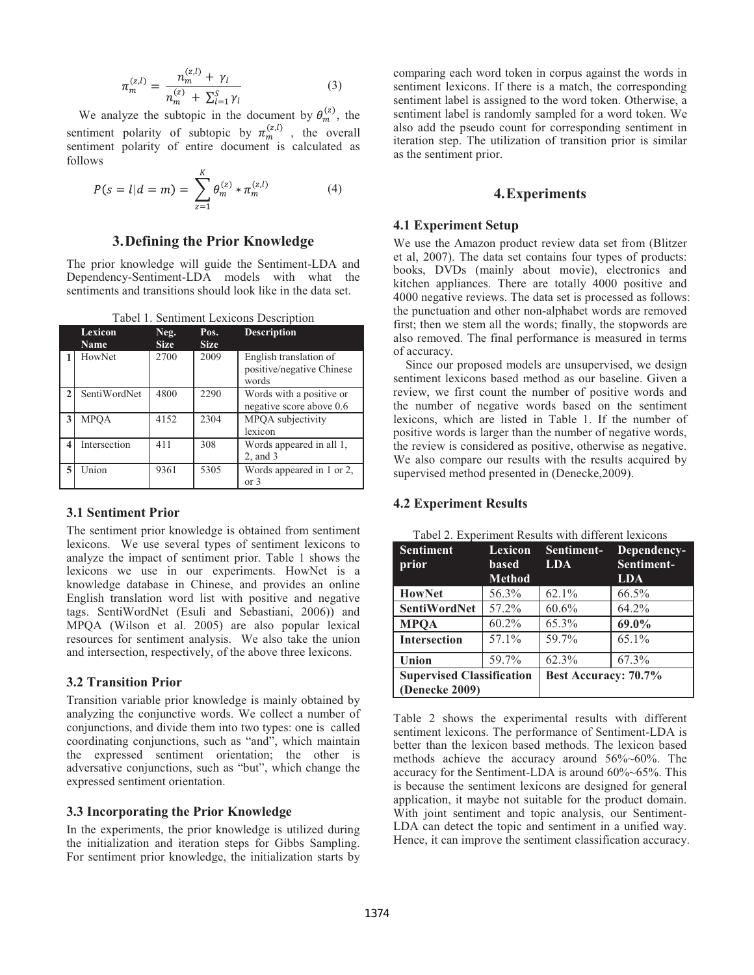$$
\pi_m^{(z,l)} = \frac{n_m^{(z,l)} + \gamma_l}{n_m^{(z)} + \sum_{l=1}^S \gamma_l} \tag{3}
$$

We analyze the subtopic in the document by  $\theta_m^{(z)}$ , the sentiment polarity of subtopic by  $\pi_m^{(z,l)}$ , the overall sentiment polarity of entire document is calculated as follows

$$
P(s = l|d = m) = \sum_{z=1}^{K} \theta_{m}^{(z)} * \pi_{m}^{(z,l)}
$$
(4)

# **3. Defining the Prior Knowledge**

The prior knowledge will guide the Sentiment-LDA and Dependency-Sentiment-LDA models with what the sentiments and transitions should look like in the data set.

|   | <b>Lexicon</b><br>Name | Neg.<br><b>Size</b> | Pos.<br><b>Size</b> | <b>Description</b>                                           |
|---|------------------------|---------------------|---------------------|--------------------------------------------------------------|
|   | HowNet                 | 2700                | 2009                | English translation of<br>positive/negative Chinese<br>words |
|   | SentiWordNet           | 4800                | 2290                | Words with a positive or<br>negative score above 0.6         |
| 3 | <b>MPOA</b>            | 4152                | 2304                | MPOA subjectivity<br>lexicon                                 |
| 4 | Intersection           | 411                 | 308                 | Words appeared in all 1,<br>2, and 3                         |
| 5 | Union                  | 9361                | 5305                | Words appeared in 1 or 2,<br>or 3                            |

#### **3.1 Sentiment Prior**

The sentiment prior knowledge is obtained from sentiment lexicons. We use several types of sentiment lexicons to analyze the impact of sentiment prior. Table 1 shows the lexicons we use in our experiments. HowNet is a knowledge database in Chinese, and provides an online English translation word list with positive and negative tags. SentiWordNet (Esuli and Sebastiani, 2006)) and MPQA (Wilson et al. 2005) are also popular lexical resources for sentiment analysis. We also take the union and intersection, respectively, of the above three lexicons.

#### **3.2 Transition Prior**

Transition variable prior knowledge is mainly obtained by analyzing the conjunctive words. We collect a number of conjunctions, and divide them into two types: one is called coordinating conjunctions, such as "and", which maintain the expressed sentiment orientation; the other is adversative conjunctions, such as "but", which change the expressed sentiment orientation.

#### **3.3 Incorporating the Prior Knowledge**

In the experiments, the prior knowledge is utilized during the initialization and iteration steps for Gibbs Sampling. For sentiment prior knowledge, the initialization starts by

comparing each word token in corpus against the words in sentiment lexicons. If there is a match, the corresponding sentiment label is assigned to the word token. Otherwise, a sentiment label is randomly sampled for a word token. We also add the pseudo count for corresponding sentiment in iteration step. The utilization of transition prior is similar as the sentiment prior.

#### **4. Experiments**

#### **4.1 Experiment Setup**

We use the Amazon product review data set from (Blitzer et al, 2007). The data set contains four types of products: books, DVDs (mainly about movie), electronics and kitchen appliances. There are totally 4000 positive and 4000 negative reviews. The data set is processed as follows: the punctuation and other non-alphabet words are removed first; then we stem all the words; finally, the stopwords are also removed. The final performance is measured in terms of accuracy.

Since our proposed models are unsupervised, we design sentiment lexicons based method as our baseline. Given a review, we first count the number of positive words and the number of negative words based on the sentiment lexicons, which are listed in Table 1. If the number of positive words is larger than the number of negative words, the review is considered as positive, otherwise as negative. We also compare our results with the results acquired by supervised method presented in (Denecke,2009).

#### **4.2 Experiment Results**

| <b>Sentiment</b><br>prior                          | Lexicon<br><b>based</b><br><b>Method</b> | Sentiment-<br><b>LDA</b> | Dependency-<br>Sentiment-<br><b>LDA</b> |
|----------------------------------------------------|------------------------------------------|--------------------------|-----------------------------------------|
| <b>HowNet</b>                                      | 56.3%                                    | $62.1\%$                 | 66.5%                                   |
| <b>SentiWordNet</b>                                | 57.2%                                    | 60.6%                    | 64.2%                                   |
| <b>MPOA</b>                                        | $60.2\%$                                 | 65.3%                    | 69.0%                                   |
| <b>Intersection</b>                                | 57.1%                                    | 59.7%                    | 65.1%                                   |
| Union                                              | 59.7%                                    | 62.3%                    | 67.3%                                   |
| <b>Supervised Classification</b><br>(Denecke 2009) |                                          | Best Accuracy: 70.7%     |                                         |

Tabel 2. Experiment Results with different lexicons

Table 2 shows the experimental results with different sentiment lexicons. The performance of Sentiment-LDA is better than the lexicon based methods. The lexicon based methods achieve the accuracy around 56%~60%. The accuracy for the Sentiment-LDA is around 60%~65%. This is because the sentiment lexicons are designed for general application, it maybe not suitable for the product domain. With joint sentiment and topic analysis, our Sentiment-LDA can detect the topic and sentiment in a unified way. Hence, it can improve the sentiment classification accuracy.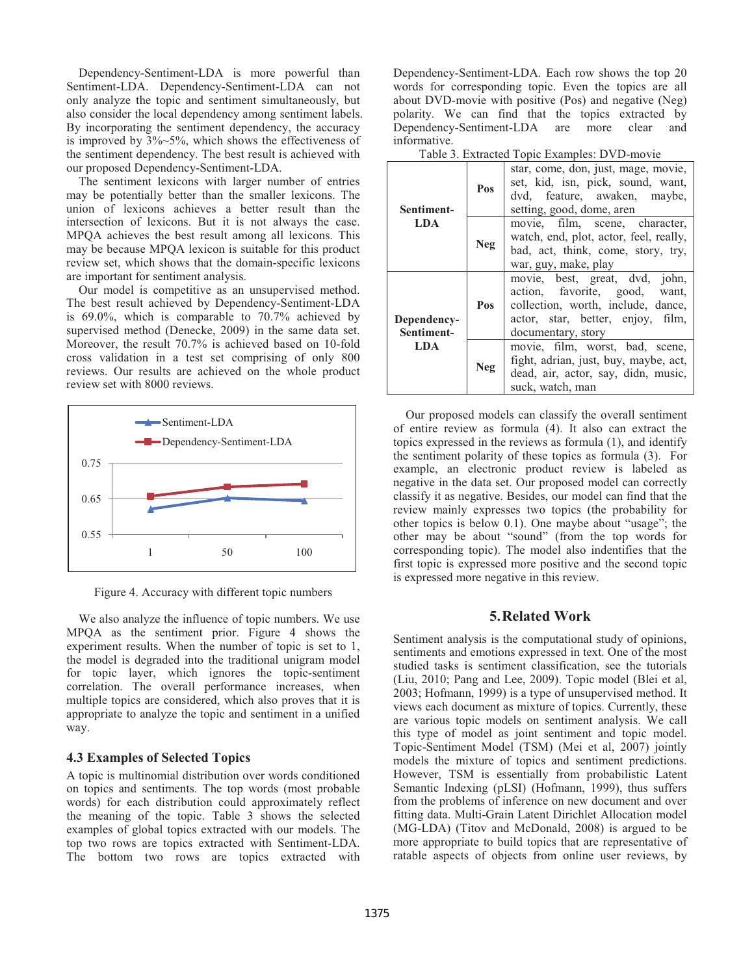Dependency-Sentiment-LDA is more powerful than Sentiment-LDA. Dependency-Sentiment-LDA can not only analyze the topic and sentiment simultaneously, but also consider the local dependency among sentiment labels. By incorporating the sentiment dependency, the accuracy is improved by  $3\%~5\%$ , which shows the effectiveness of the sentiment dependency. The best result is achieved with our proposed Dependency-Sentiment-LDA.

The sentiment lexicons with larger number of entries may be potentially better than the smaller lexicons. The union of lexicons achieves a better result than the intersection of lexicons. But it is not always the case. MPQA achieves the best result among all lexicons. This may be because MPQA lexicon is suitable for this product review set, which shows that the domain-specific lexicons are important for sentiment analysis.

Our model is competitive as an unsupervised method. The best result achieved by Dependency-Sentiment-LDA is 69.0%, which is comparable to 70.7% achieved by supervised method (Denecke, 2009) in the same data set. Moreover, the result 70.7% is achieved based on 10-fold cross validation in a test set comprising of only 800 reviews. Our results are achieved on the whole product review set with 8000 reviews.



Figure 4. Accuracy with different topic numbers

We also analyze the influence of topic numbers. We use MPQA as the sentiment prior. Figure 4 shows the experiment results. When the number of topic is set to 1, the model is degraded into the traditional unigram model for topic layer, which ignores the topic-sentiment correlation. The overall performance increases, when multiple topics are considered, which also proves that it is appropriate to analyze the topic and sentiment in a unified way.

# **4.3 Examples of Selected Topics**

A topic is multinomial distribution over words conditioned on topics and sentiments. The top words (most probable words) for each distribution could approximately reflect the meaning of the topic. Table 3 shows the selected examples of global topics extracted with our models. The top two rows are topics extracted with Sentiment-LDA. The bottom two rows are topics extracted with

Dependency-Sentiment-LDA. Each row shows the top 20 words for corresponding topic. Even the topics are all about DVD-movie with positive (Pos) and negative (Neg) polarity. We can find that the topics extracted by Dependency-Sentiment-LDA are more clear and informative.

|  | Table 3. Extracted Topic Examples: DVD-movie |  |
|--|----------------------------------------------|--|
|  |                                              |  |

| Sentiment-                | Pos        | star, come, don, just, mage, movie,<br>set, kid, isn, pick, sound, want,<br>dvd, feature, awaken, maybe,<br>setting, good, dome, aren                            |
|---------------------------|------------|------------------------------------------------------------------------------------------------------------------------------------------------------------------|
| LDA                       | <b>Neg</b> | movie, film, scene, character,<br>watch, end, plot, actor, feel, really,<br>bad, act, think, come, story, try,<br>war, guy, make, play                           |
| Dependency-<br>Sentiment- | Pos        | movie, best, great, dvd, john,<br>action, favorite, good, want,<br>collection, worth, include, dance,<br>actor, star, better, enjoy, film,<br>documentary, story |
| <b>LDA</b>                | <b>Neg</b> | movie, film, worst, bad, scene,<br>fight, adrian, just, buy, maybe, act,<br>dead, air, actor, say, didn, music,<br>suck, watch, man                              |

Our proposed models can classify the overall sentiment of entire review as formula (4). It also can extract the topics expressed in the reviews as formula (1), and identify the sentiment polarity of these topics as formula (3). For example, an electronic product review is labeled as negative in the data set. Our proposed model can correctly classify it as negative. Besides, our model can find that the review mainly expresses two topics (the probability for other topics is below 0.1). One maybe about "usage"; the other may be about "sound" (from the top words for corresponding topic). The model also indentifies that the first topic is expressed more positive and the second topic is expressed more negative in this review.

# **5. Related Work**

Sentiment analysis is the computational study of opinions, sentiments and emotions expressed in text. One of the most studied tasks is sentiment classification, see the tutorials (Liu, 2010; Pang and Lee, 2009). Topic model (Blei et al, 2003; Hofmann, 1999) is a type of unsupervised method. It views each document as mixture of topics. Currently, these are various topic models on sentiment analysis. We call this type of model as joint sentiment and topic model. Topic-Sentiment Model (TSM) (Mei et al, 2007) jointly models the mixture of topics and sentiment predictions. However, TSM is essentially from probabilistic Latent Semantic Indexing (pLSI) (Hofmann, 1999), thus suffers from the problems of inference on new document and over fitting data. Multi-Grain Latent Dirichlet Allocation model (MG-LDA) (Titov and McDonald, 2008) is argued to be more appropriate to build topics that are representative of ratable aspects of objects from online user reviews, by